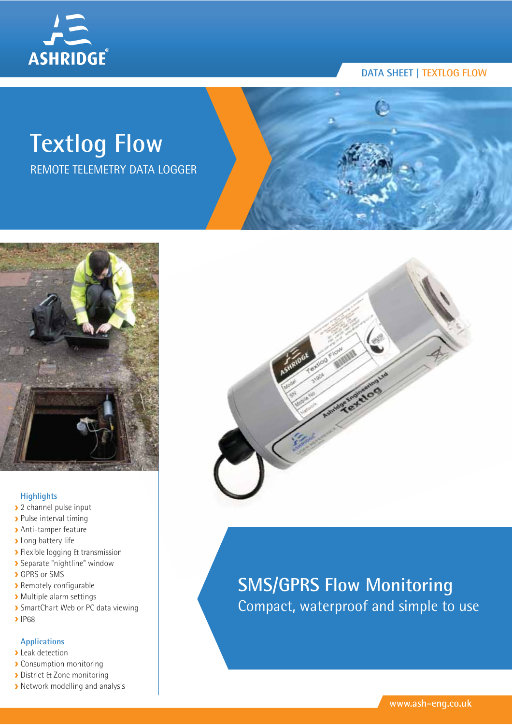

# **Textlog Flow**

REMOTE TELEMETRY DATA LOGGER



#### **Highlights**

- 2 channel pulse input
- **Pulse interval timing**
- Anti-tamper feature
- **>** Long battery life
- **>** Flexible logging & transmission
- Separate "nightline" window
- **GPRS** or SMS
- Remotely configurable
- Multiple alarm settings
- **>** SmartChart Web or PC data viewing
- **>** IP68

#### **Applications**

- **D** Leak detection
- **Consumption monitoring**
- **District & Zone monitoring**
- **Network modelling and analysis**



### **SMS/GPRS Flow Monitoring** Compact, waterproof and simple to use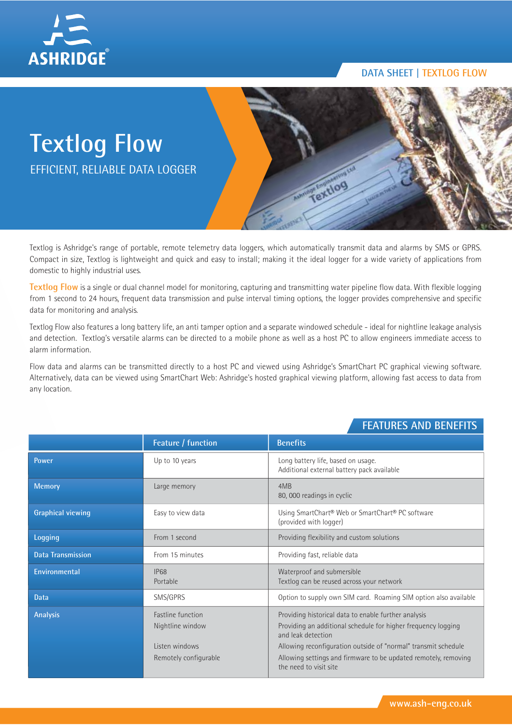

## **Textlog Flow** EFFICIENT, RELIABLE DATA LOGGER



Textlog is Ashridge's range of portable, remote telemetry data loggers, which automatically transmit data and alarms by SMS or GPRS. Compact in size, Textlog is lightweight and quick and easy to install; making it the ideal logger for a wide variety of applications from domestic to highly industrial uses.

**Textlog Flow** is a single or dual channel model for monitoring, capturing and transmitting water pipeline flow data. With flexible logging from 1 second to 24 hours, frequent data transmission and pulse interval timing options, the logger provides comprehensive and specific data for monitoring and analysis.

Textlog Flow also features a long battery life, an anti tamper option and a separate windowed schedule - ideal for nightline leakage analysis and detection. Textlog's versatile alarms can be directed to a mobile phone as well as a host PC to allow engineers immediate access to alarm information.

Flow data and alarms can be transmitted directly to a host PC and viewed using Ashridge's SmartChart PC graphical viewing software. Alternatively, data can be viewed using SmartChart Web: Ashridge's hosted graphical viewing platform, allowing fast access to data from any location.

#### **FEATURES AND BENEFITS**

|                          | Feature / function                                                                      | <b>Benefits</b>                                                                                                                                                                                                                                                                                            |
|--------------------------|-----------------------------------------------------------------------------------------|------------------------------------------------------------------------------------------------------------------------------------------------------------------------------------------------------------------------------------------------------------------------------------------------------------|
| <b>Power</b>             | Up to 10 years                                                                          | Long battery life, based on usage.<br>Additional external battery pack available                                                                                                                                                                                                                           |
| <b>Memory</b>            | Large memory                                                                            | 4MB<br>80, 000 readings in cyclic                                                                                                                                                                                                                                                                          |
| <b>Graphical viewing</b> | Easy to view data                                                                       | Using SmartChart® Web or SmartChart® PC software<br>(provided with logger)                                                                                                                                                                                                                                 |
| Logging                  | From 1 second                                                                           | Providing flexibility and custom solutions                                                                                                                                                                                                                                                                 |
| <b>Data Transmission</b> | From 15 minutes                                                                         | Providing fast, reliable data                                                                                                                                                                                                                                                                              |
| Environmental            | <b>IP68</b><br>Portable                                                                 | Waterproof and submersible<br>Textlog can be reused across your network                                                                                                                                                                                                                                    |
| <b>Data</b>              | SMS/GPRS                                                                                | Option to supply own SIM card. Roaming SIM option also available                                                                                                                                                                                                                                           |
| <b>Analysis</b>          | <b>Fastline function</b><br>Nightline window<br>Listen windows<br>Remotely configurable | Providing historical data to enable further analysis<br>Providing an additional schedule for higher frequency logging<br>and leak detection<br>Allowing reconfiguration outside of "normal" transmit schedule<br>Allowing settings and firmware to be updated remotely, removing<br>the need to visit site |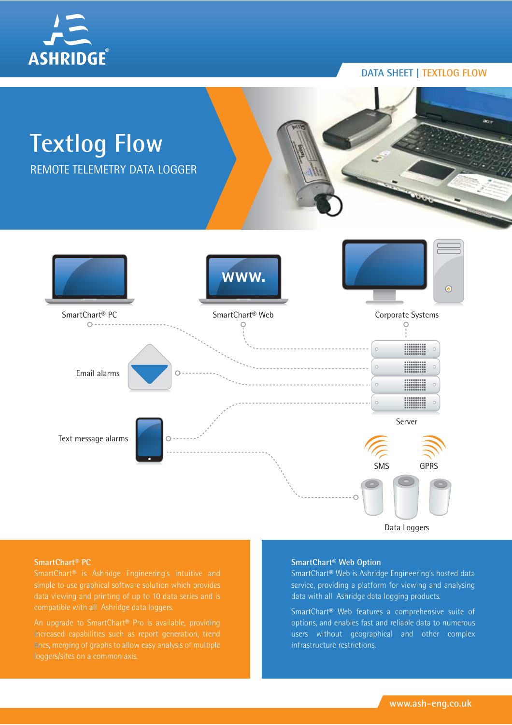



**SmartChart® PC**

An upgrade to SmartChart® Pro is available, providing

#### **SmartChart® Web Option**

SmartChart® Web is Ashridge Engineering's hosted data service, providing a platform for viewing and analysing data with all Ashridge data logging products.

SmartChart® Web features a comprehensive suite of options, and enables fast and reliable data to numerous users without geographical and other complex infrastructure restrictions.